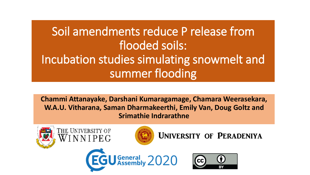# Soil amendments reduce P release from flooded soils: Incubation studies simulating snowmelt and summer flooding

**Chammi Attanayake, Darshani Kumaragamage, Chamara Weerasekara, W.A.U. Vitharana, Saman Dharmakeerthi, Emily Van, Doug Goltz and Srimathie Indrarathne**











University of Peradeniya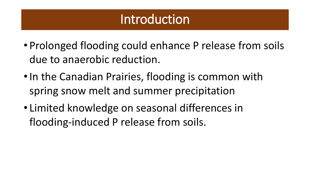## **Introduction**

- Prolonged flooding could enhance P release from soils due to anaerobic reduction.
- In the Canadian Prairies, flooding is common with spring snow melt and summer precipitation
- Limited knowledge on seasonal differences in flooding-induced P release from soils.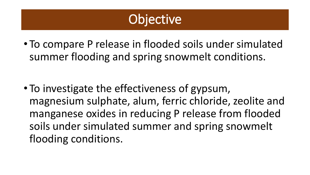# **Objective**

• To compare P release in flooded soils under simulated summer flooding and spring snowmelt conditions.

• To investigate the effectiveness of gypsum, magnesium sulphate, alum, ferric chloride, zeolite and manganese oxides in reducing P release from flooded soils under simulated summer and spring snowmelt flooding conditions.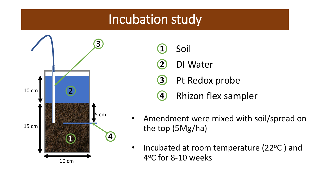## Incubation study



- **1** Soil
- **2** DI Water
- **3** Pt Redox probe
- **4** Rhizon flex sampler
- Amendment were mixed with soil/spread on the top (5Mg/ha)
- Incubated at room temperature (22<sup>o</sup>C) and 4°C for 8-10 weeks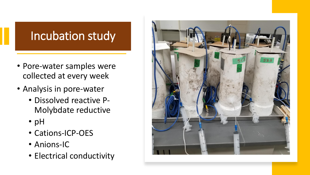## Incubation study

- Pore-water samples were collected at every week
- Analysis in pore-water
	- Dissolved reactive P-Molybdate reductive
	- pH
	- Cations-ICP-OES
	- Anions-IC
	- Electrical conductivity

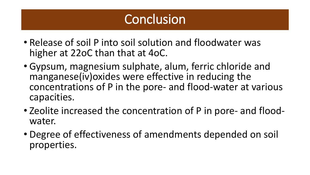# Conclusion

- Release of soil P into soil solution and floodwater was higher at 22oC than that at 4oC.
- Gypsum, magnesium sulphate, alum, ferric chloride and manganese(iv)oxides were effective in reducing the concentrations of P in the pore- and flood-water at various capacities.
- Zeolite increased the concentration of P in pore- and floodwater.
- Degree of effectiveness of amendments depended on soil properties.